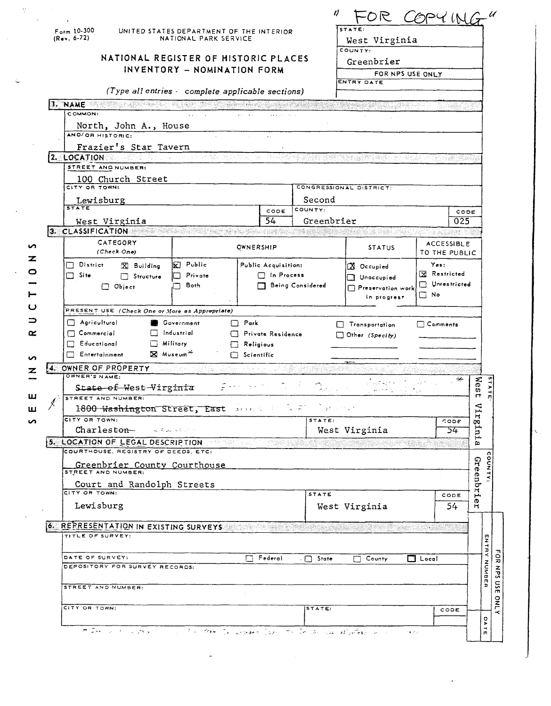| Form 10-300                                                                                                                                                                                                                   | UNITED STATES DEPARTMENT OF THE INTERIOR            |                                       |                     |                                                             | STATE:                                                                                       |              | DPY WILL                               |                         |                                              |
|-------------------------------------------------------------------------------------------------------------------------------------------------------------------------------------------------------------------------------|-----------------------------------------------------|---------------------------------------|---------------------|-------------------------------------------------------------|----------------------------------------------------------------------------------------------|--------------|----------------------------------------|-------------------------|----------------------------------------------|
| $(Rev. 6-72)$                                                                                                                                                                                                                 | NATIONAL PARK SERVICE                               |                                       |                     |                                                             | West Virginia                                                                                |              |                                        |                         |                                              |
|                                                                                                                                                                                                                               | NATIONAL REGISTER OF HISTORIC PLACES                |                                       |                     |                                                             | COUNTY:                                                                                      |              |                                        |                         |                                              |
|                                                                                                                                                                                                                               | INVENTORY - NOMINATION FORM                         |                                       |                     |                                                             | Greenbrier                                                                                   |              |                                        |                         |                                              |
|                                                                                                                                                                                                                               |                                                     |                                       |                     |                                                             | FOR NPS USE ONLY<br>ENTRY DATE                                                               |              |                                        |                         |                                              |
|                                                                                                                                                                                                                               | (Type all entries complete applicable sections)     |                                       |                     |                                                             |                                                                                              |              |                                        |                         |                                              |
| <b>I. NAME DE LA PARTIE DE LA PARTIE DE LA PARTIE DE LA PARTIE DE LA PARTIE DE LA PARTIE DE LA PARTIE DE LA PART</b>                                                                                                          |                                                     |                                       |                     |                                                             |                                                                                              |              | 9. Patri                               |                         |                                              |
| COMMON:                                                                                                                                                                                                                       |                                                     |                                       | award control       |                                                             |                                                                                              |              |                                        |                         |                                              |
| North, John A., House<br>AND/OR HISTORIC:                                                                                                                                                                                     |                                                     |                                       |                     |                                                             |                                                                                              |              |                                        |                         |                                              |
| Frazier's Star Tavern                                                                                                                                                                                                         |                                                     |                                       |                     |                                                             |                                                                                              |              |                                        |                         |                                              |
| <b>2. LOCATION</b>                                                                                                                                                                                                            | 아버지 사람은 아버지 아이들이                                    |                                       |                     |                                                             | THE REPORT OF THE REPORT OF A REAL PROPERTY.                                                 |              |                                        |                         |                                              |
| STREET AND NUMBER:                                                                                                                                                                                                            |                                                     |                                       |                     |                                                             |                                                                                              |              |                                        |                         |                                              |
| 100 Church Street                                                                                                                                                                                                             |                                                     |                                       |                     |                                                             |                                                                                              |              |                                        |                         |                                              |
| CITY OR TOWN:                                                                                                                                                                                                                 |                                                     |                                       |                     |                                                             | CONGRESSIONAL DISTRICT:                                                                      |              |                                        |                         |                                              |
| Lewisburg<br><b>STATE</b>                                                                                                                                                                                                     |                                                     |                                       |                     | Second<br>COUNTY:                                           |                                                                                              |              |                                        |                         |                                              |
| West Virginia                                                                                                                                                                                                                 |                                                     |                                       | CODE<br>54          | Greenbrier                                                  |                                                                                              |              | CODE<br>025                            |                         |                                              |
| 3. CLASSIFICATION AND CONTROL CONTROL CONTROL CONTROL CONTROL CONTROL CONTROL CONTROL CONTROL CONTROL CONTROL CONTROL CONTROL CONTROL CONTROL CONTROL CONTROL CONTROL CONTROL CONTROL CONTROL CONTROL CONTROL CONTROL CONTROL |                                                     |                                       |                     |                                                             |                                                                                              |              |                                        |                         |                                              |
| CATEGORY                                                                                                                                                                                                                      |                                                     | <b>OWNERSHIP</b>                      |                     |                                                             |                                                                                              |              | <b>ACCESSIBLE</b>                      |                         |                                              |
| (Check One)                                                                                                                                                                                                                   |                                                     |                                       |                     |                                                             | <b>STATUS</b>                                                                                |              | TO THE PUBLIC                          |                         |                                              |
| District<br>X Building<br>l 1                                                                                                                                                                                                 | l⊠ Public                                           |                                       | Public Acquisition: |                                                             | <b>X</b> Occupied                                                                            |              | Yes:                                   |                         |                                              |
| Site<br>$\Box$<br>Structure                                                                                                                                                                                                   | Private                                             |                                       | □ In Process        |                                                             | Unoccupied                                                                                   |              | $\boxtimes$ Restricted<br>Unrestricted |                         |                                              |
| $\Box$ Object                                                                                                                                                                                                                 | <b>Both</b>                                         |                                       |                     | Being Considered                                            | Preservation work                                                                            | $\square$ No |                                        |                         |                                              |
|                                                                                                                                                                                                                               |                                                     |                                       |                     |                                                             | in progress                                                                                  |              |                                        |                         |                                              |
| PRESENT USE (Check One or More as Apprepriate)                                                                                                                                                                                |                                                     |                                       |                     |                                                             |                                                                                              |              |                                        |                         |                                              |
| $\Box$ Agricultural                                                                                                                                                                                                           | Government                                          | $\Box$ Park                           |                     |                                                             | $\Box$ Transportation                                                                        |              | $\Box$ Comments                        |                         |                                              |
|                                                                                                                                                                                                                               |                                                     |                                       |                     |                                                             |                                                                                              |              |                                        |                         |                                              |
| $\Box$ Commercial                                                                                                                                                                                                             | Industrial                                          |                                       | Private Residence   |                                                             | Other (Specify)                                                                              |              |                                        |                         |                                              |
| <b>Educational</b><br><b>Entertainment</b>                                                                                                                                                                                    | $\Box$ Military<br>$\boxtimes$ Museum <sup>**</sup> | $\Box$ Religious<br>$\Box$ Scientific |                     |                                                             |                                                                                              |              |                                        |                         |                                              |
|                                                                                                                                                                                                                               |                                                     |                                       |                     |                                                             |                                                                                              |              |                                        |                         |                                              |
| <b>4. OWNER OF PROPERTY</b> and the property of the second of the second of the second of the second of the second of $\mathbb{R}^n$<br>OWNER'S NAME:                                                                         |                                                     |                                       |                     |                                                             |                                                                                              |              |                                        |                         |                                              |
| State of West-Virginia                                                                                                                                                                                                        |                                                     | $2.441 - 2.2141$                      |                     | $\mathcal{A}_1$ , and $\mathcal{A}_2$ , and $\mathcal{A}_3$ | $1.22 + 1.5$<br>$\mathcal{L}(\mathcal{L}) = \mathcal{L}(\mathcal{L}(\mathcal{L}))$ , we have |              |                                        |                         |                                              |
| STREET AND NUMBER:                                                                                                                                                                                                            |                                                     |                                       |                     |                                                             |                                                                                              |              |                                        | West<br>⊲               |                                              |
| 1800 Washington Street, East                                                                                                                                                                                                  |                                                     |                                       |                     | 一 人口門                                                       | 母れ いつこう                                                                                      |              |                                        | H                       |                                              |
| CITY OR TOWN:                                                                                                                                                                                                                 |                                                     |                                       |                     | STATE:                                                      | West Virginia                                                                                |              | CODE<br>54                             |                         |                                              |
| 5. LOCATION OF LEGAL DESCRIPTION AND RESERVED BY                                                                                                                                                                              |                                                     |                                       |                     |                                                             |                                                                                              |              |                                        | Fuj <sub>8</sub> .<br>ω |                                              |
| COURTHOUSE, REGISTRY OF DEEDS, ETC:                                                                                                                                                                                           |                                                     |                                       |                     |                                                             | <u> Brazilian yang ber</u>                                                                   |              |                                        |                         |                                              |
| Greenbrier County Courthouse                                                                                                                                                                                                  |                                                     |                                       |                     |                                                             |                                                                                              |              |                                        |                         |                                              |
| STREET AND NUMBER:                                                                                                                                                                                                            |                                                     |                                       |                     |                                                             |                                                                                              |              |                                        |                         |                                              |
| Court and Randolph Streets<br>CITY OR TOWN:                                                                                                                                                                                   |                                                     |                                       |                     |                                                             |                                                                                              |              |                                        |                         |                                              |
| Lewisburg                                                                                                                                                                                                                     |                                                     |                                       |                     | STATE                                                       | West Virginia                                                                                |              | CODE<br>54                             | Greenbrie<br>н          |                                              |
|                                                                                                                                                                                                                               |                                                     |                                       |                     |                                                             |                                                                                              |              |                                        |                         |                                              |
| 6. REPRESENTATION IN EXISTING SURVEYS CONTROLLER STATES                                                                                                                                                                       |                                                     |                                       |                     |                                                             |                                                                                              |              |                                        |                         |                                              |
| TITLE OF SURVEY:                                                                                                                                                                                                              |                                                     |                                       |                     |                                                             |                                                                                              |              |                                        |                         |                                              |
| DATE OF SURVEY:                                                                                                                                                                                                               |                                                     |                                       | Federal             | State<br>$\cdot \Box$                                       | County                                                                                       | $\Box$ Local |                                        |                         |                                              |
| DEPOSITORY FOR SURVEY RECORDS:                                                                                                                                                                                                |                                                     |                                       |                     |                                                             |                                                                                              |              |                                        |                         |                                              |
|                                                                                                                                                                                                                               |                                                     |                                       |                     |                                                             |                                                                                              |              |                                        |                         |                                              |
| STREET AND NUMBER:                                                                                                                                                                                                            |                                                     |                                       |                     |                                                             |                                                                                              |              |                                        |                         |                                              |
| CITY OR TOWN:                                                                                                                                                                                                                 |                                                     |                                       |                     | STATE:                                                      |                                                                                              |              |                                        |                         |                                              |
|                                                                                                                                                                                                                               |                                                     |                                       |                     |                                                             |                                                                                              |              | CODE                                   |                         | <b>TATE</b><br><b>ENTRY NUMBER</b><br>O<br>⋗ |

 $\ddot{z}$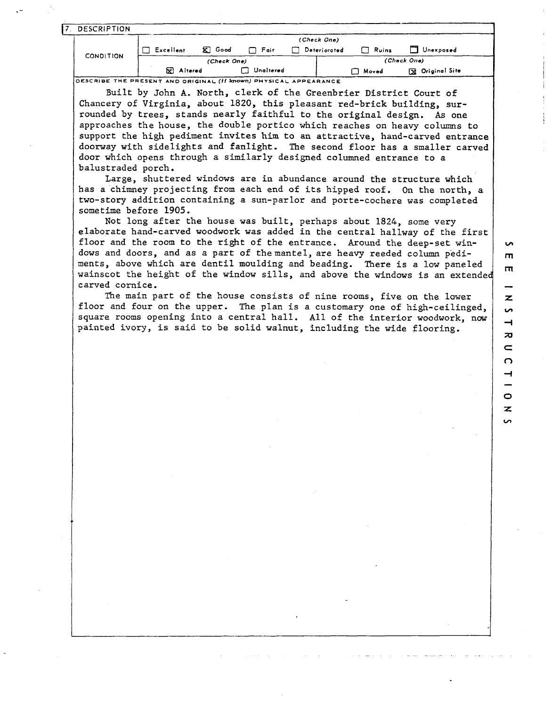| (Check One)     |
|-----------------|
|                 |
| m.<br>Unexposed |
|                 |
|                 |

Built by John **A.** North, clerk of the Greenbrier District Court of Chancery of Virginia, about 1820, this pleasant red-brick building, surrounded by trees, stands nearly faithful to the original design. As one approaches the house, the double portico which reaches on heavy columns to support the high pediment invites him to an attractive, hand-carved entrance doorway with sidelights and fanlight. The second floor has a smaller carved door which opens through a similarly designed columned entrance to a balustraded porch.

Large, shuttered windows are in abundance around the structure which has a chimney projecting from each end of its hipped roof. On the north, a two-story addition containing a sun-parlor and porte-cochere was completed sometime before 1905.

Not long after the house was built, perhaps about 1824, some very elaborate hand-carved woodwork was added in the central hallway of the first floor and the room to the right of the entrance. Around the deep-set windows and doors, and as a part of themantel, are heavy reeded column pediments, above which are dentil moulding and beading. There is a low paneled wainscot the height of the window sills, and above the windows is an extended carved cornice.

The main part of the house consists of nine rooms, five on the lower floor and four on the upper. The plan is a customary one of high-ceilinged, square rooms opening into a central hall. All of the interior woodwork, now painted ivory, is said to be solid walnut, including the wide flooring.

**Un**  $\mathbf{m}$  $\mathbf{m}$  $\overline{z}$ ທ  $\overline{\phantom{0}}$  $\overline{\mathbf{x}}$  $\subset$  $\Omega$  $\overline{a}$ z.  $\overline{a}$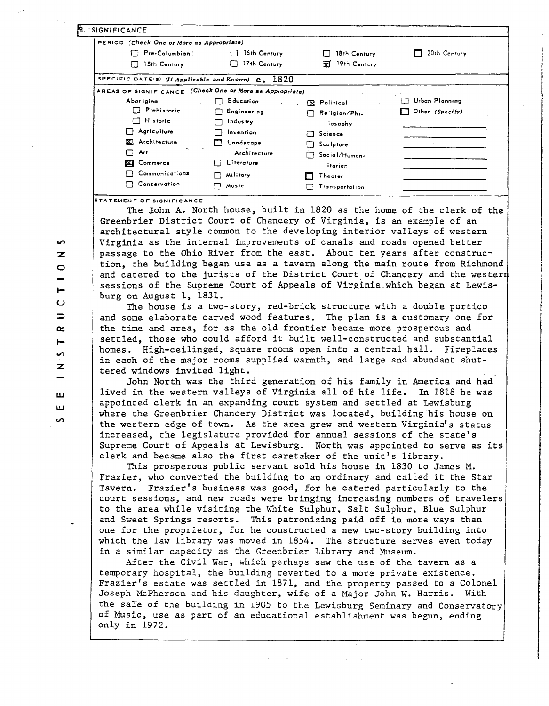| PERIOD (Check One or More as Appropriate)                |                            |                      |                       |
|----------------------------------------------------------|----------------------------|----------------------|-----------------------|
| Pre-Columbian:                                           | 16th Century               | 18th Century         | 20th Century          |
| 15th Century<br>$\mathbf{1}$                             | 17th Century               | 19th Century<br>न्ति |                       |
| SPECIFIC DATE(S) (If Applicable and Known) $c = 1820$    |                            |                      |                       |
| AREAS OF SIGNIFICANCE (Check One or More as Appropriate) |                            |                      |                       |
| Abor iginal                                              | $\Box$ Education           | R Political          | <b>Urban Planning</b> |
| Prehistoric                                              | $\Box$ Engineering         | Religion/Phi.        | Other (Specify)       |
| $\Box$ Historic                                          | Industry                   | losophy              |                       |
| Agriculture                                              | Invention                  | Science              |                       |
| Architecture<br>Œ.                                       | Landscape                  | Sculpture            |                       |
| Art                                                      | Architecture               | Social/Human-        |                       |
| Commerce<br>ÞЧ.                                          | Literature<br>$\mathbf{1}$ | itarian              |                       |
| Communications                                           | Military                   | Theater              |                       |
| Conservation                                             | $\Box$ Music               | Transportation       |                       |

The John **A.** North house, built in 1820 as the home of the clerk of the Greenbrier District Court of Chancery of Virginia, is an example of an architectural style common to the developing interior valleys of western Virginia as the internal improvements of canals and roads opened better passage to the Ohio River from the east. About ten years after construction, the building began use as a tavern along the main route from Richmond and catered to the jurists of the District Court of Chancery and the western sessions of the Supreme Court of Appeals of Virginia which began at Lewisburg on August 1, 1831.

The house is a two-story, red-brick structure with a double portico and some elaborate carved wood features. The plan is a customary one for the time and area, for as the old frontier became more prosperous and settled, those who could afford it built well-constructed and substantial homes. High-ceilinged, square rooms open into a central hall. Fireplaces in each of the major rooms supplied warmth, and large and abundant shuttered windows invited light.

John North was the third generation of his family in America and had lived in the western valleys of Virginia all of his life. In 1818 he was appointed clerk in an expanding court system and settled at Lewisburg where the Greenbrier Chancery District was located, building his house on the western edge of town. As the area grew and western Virginia's status increased, the legislature provided for annual sessions of the state's Supreme Court of Appeals at Lewisburg. North was appointed to serve as its clerk and became also the first caretaker of the unit's library.

This prosperous public servant sold his house in 1830 to James M. Frazier, who converted the building to an ordinary and called it the Star Tavern. Frazier's business was good, for he catered particularly to the court sessions, and new roads were bringing increasing numbers of travelers to the area while visiting the White Sulphur, Salt Sulphur, Blue Sulphur and Sweet Springs resorts. This patronizing paid off in more ways than one for the proprietor, for he constructed a new two-story building into which the law library was noved in 1854. The structure serves even today in a similar capacity as the Greenbrier Library and Museum.

After the Civil War, which perhaps saw the use of the tavern as a temporary hospital, the building reverted to a more private existence. Frazier's estate was settled in 1871, and the property passed to a Colonel Joseph McPherson and his daughter, wife of a Major John W. Harris. With the sale of the building in 1905 to the Lewisburg Seminary and Conservatory of Music, use as part of an educational establishment was begun, ending only in 1972.

ς,  $\mathbf{z}$  $\bullet$  $\blacksquare$  $\cup$  $\Rightarrow$  $\alpha$  $\overline{a}$ S  $\overline{z}$ ш Ш  $\sim$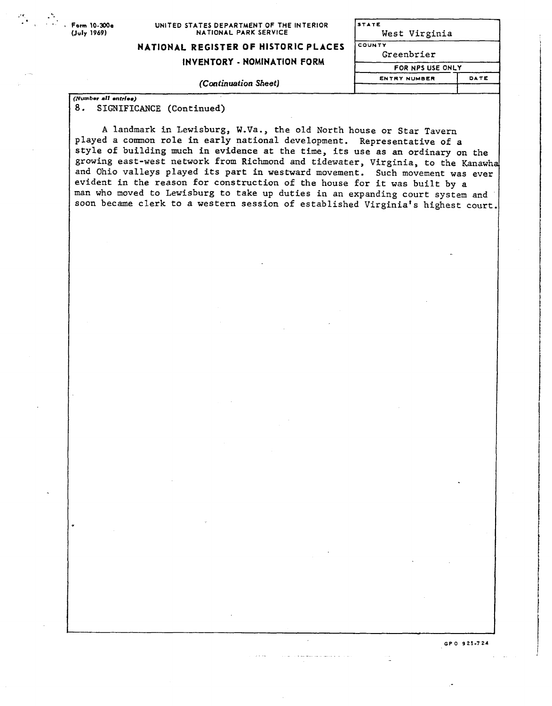## , **c** . - . . **Form 10-3000 UNITED STATES DEPARTMENT OF THE INTERIOR STATE NATIONAL PARK SERVICE**

**NATIONAL REGISTER OF HISTORIC PLACES** 

**INVENTORY** - **NOMINATION FORM** 

Greenbrier **FOR NPS USE ONLY** 

COUNTY

**ENTRY NUMBER DATE** 

 $\overline{\mathsf{L}}$ 

West Virginia

**GPO 921-724** 

**(continuation** *Sheet)* 

*(Number* **all entrfeo)** 

**8.** SIGNIFICANCE (Continued)

**A** landmark in Lewisburg, W.Va., the old North house or Star Tavern played a common role in early national development. Representative of a style of building much in evidence at the time, its use as an ordinary on the growing east-west network from Richmond and tidewater, Virginia, to the Kanawha and Ohio valleys played its part in westward movement. Such movement was ever evident in the reason for construction of the house for it was built by a man who moved to Lewisburg to take up duties in an expanding court system and soon became clerk to a western session of established Virginia's highest court.

 $\mathbf{A}$  and the<br>continuum continuum of  $\mathbf{A}$  ,  $\mathbf{A}$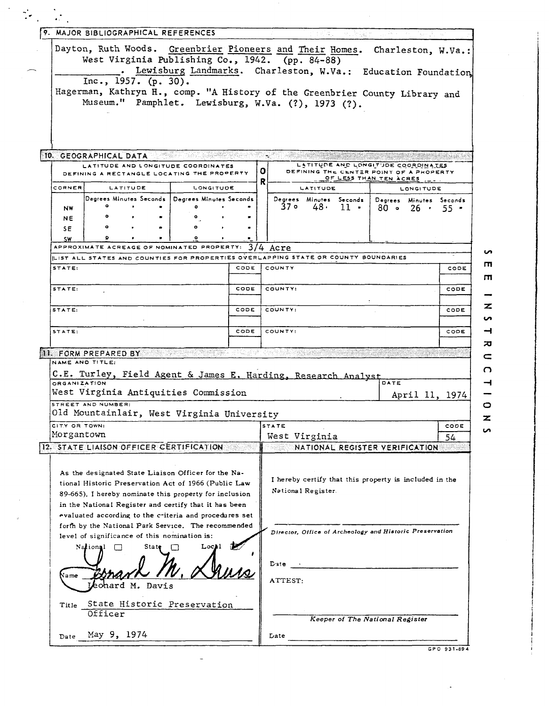|                                                                                                                                                                                                                                                                                          |                    |                      |  | 9. MAJOR BIBLIOGRAPHICAL REFERENCES                                                                             |  |                                                                              |                                                                                                    |               |          |                                                                                                         |      |                                                                 |                |  |
|------------------------------------------------------------------------------------------------------------------------------------------------------------------------------------------------------------------------------------------------------------------------------------------|--------------------|----------------------|--|-----------------------------------------------------------------------------------------------------------------|--|------------------------------------------------------------------------------|----------------------------------------------------------------------------------------------------|---------------|----------|---------------------------------------------------------------------------------------------------------|------|-----------------------------------------------------------------|----------------|--|
|                                                                                                                                                                                                                                                                                          |                    |                      |  | West Virginia Publishing Co., 1942. (pp. 84-88)                                                                 |  |                                                                              |                                                                                                    |               |          | Dayton, Ruth Woods. Greenbrier Pioneers and Their Homes. Charleston, W.Va.:                             |      |                                                                 |                |  |
| Lewisburg Landmarks. Charleston, W.Va.: Education Foundation<br>Inc., $1957.$ (p. 30).<br>Hagerman, Kathryn H., comp. "A History of the Greenbrier County Library and<br>Museum." Pamphlet. Lewisburg, W.Va. (?), 1973 (?).                                                              |                    |                      |  |                                                                                                                 |  |                                                                              |                                                                                                    |               |          |                                                                                                         |      |                                                                 |                |  |
|                                                                                                                                                                                                                                                                                          |                    |                      |  |                                                                                                                 |  |                                                                              |                                                                                                    |               |          |                                                                                                         |      |                                                                 |                |  |
|                                                                                                                                                                                                                                                                                          |                    |                      |  | 19. GEOGRAPHICAL DATA AND ARRESTS AND A STRUCK AND A STRUCK AND A STRUCK AND A STRUCK AND A STRUCK AND A STRUCK |  |                                                                              |                                                                                                    |               |          |                                                                                                         |      |                                                                 |                |  |
|                                                                                                                                                                                                                                                                                          |                    |                      |  | LATITUDE AND LONGITUDE COORDINATES<br>DEFINING A RECTANGLE LOCATING THE PROPERTY                                |  |                                                                              | O.                                                                                                 |               |          | LATITUDE AND LONGITUDE COORDINATES<br>DEFINING THE CENTER POINT OF A PROPERTY<br>OF LESS THAN TEN ACRES |      |                                                                 |                |  |
| CORNER                                                                                                                                                                                                                                                                                   | <b>LATITUDE</b>    |                      |  | LONGITUDE                                                                                                       |  |                                                                              | R                                                                                                  |               | LATITUDE |                                                                                                         |      | LONGITUDE                                                       |                |  |
| <b>NW</b>                                                                                                                                                                                                                                                                                |                    |                      |  | Degrees Minutes Seconds   Degrees Minutes Seconds                                                               |  |                                                                              |                                                                                                    | 37 o          |          | Degrees Minutes Seconds  <br>48. 11.                                                                    |      | Degrees Minutes Seconds<br>$80$ $\circ$ $26$ $\cdot$ 55 $\cdot$ |                |  |
| NE.<br><b>SE</b>                                                                                                                                                                                                                                                                         |                    |                      |  |                                                                                                                 |  |                                                                              |                                                                                                    |               |          |                                                                                                         |      |                                                                 |                |  |
| <b>SW</b>                                                                                                                                                                                                                                                                                |                    |                      |  |                                                                                                                 |  |                                                                              |                                                                                                    |               |          |                                                                                                         |      |                                                                 |                |  |
|                                                                                                                                                                                                                                                                                          |                    |                      |  | APPROXIMATE ACREAGE OF NOMINATED PROPERTY:                                                                      |  |                                                                              |                                                                                                    | -3/4 Acre     |          |                                                                                                         |      |                                                                 |                |  |
|                                                                                                                                                                                                                                                                                          |                    |                      |  |                                                                                                                 |  |                                                                              |                                                                                                    |               |          | LIST ALL STATES AND COUNTIES FOR PROPERTIES OVERLAPPING STATE OR COUNTY BOUNDARIES                      |      |                                                                 |                |  |
| STATE:                                                                                                                                                                                                                                                                                   |                    |                      |  |                                                                                                                 |  | <b>CODE</b>                                                                  |                                                                                                    | COUNTY        |          |                                                                                                         |      |                                                                 | CODE           |  |
| STATE:                                                                                                                                                                                                                                                                                   |                    |                      |  |                                                                                                                 |  | CODE                                                                         |                                                                                                    | COUNTY:       |          |                                                                                                         |      |                                                                 | CODE           |  |
| STATE:                                                                                                                                                                                                                                                                                   |                    |                      |  |                                                                                                                 |  | CODE                                                                         |                                                                                                    | COUNTY:       |          |                                                                                                         |      |                                                                 | CODE           |  |
| STATE:                                                                                                                                                                                                                                                                                   |                    |                      |  |                                                                                                                 |  | CODE                                                                         |                                                                                                    | COUNTY:       |          |                                                                                                         |      |                                                                 | CODE           |  |
|                                                                                                                                                                                                                                                                                          |                    | 11. FORM PREPARED BY |  |                                                                                                                 |  |                                                                              |                                                                                                    |               |          |                                                                                                         |      |                                                                 |                |  |
|                                                                                                                                                                                                                                                                                          | NAME AND TITLE:    |                      |  |                                                                                                                 |  |                                                                              |                                                                                                    |               |          |                                                                                                         |      |                                                                 |                |  |
| ORGANIZATION                                                                                                                                                                                                                                                                             |                    |                      |  |                                                                                                                 |  |                                                                              |                                                                                                    |               |          | C.E. Turley, Field Agent & James E. Harding, Research Analyst                                           | DATE |                                                                 |                |  |
|                                                                                                                                                                                                                                                                                          |                    |                      |  | West Virginia Antiquities Commission                                                                            |  |                                                                              |                                                                                                    |               |          |                                                                                                         |      |                                                                 | April 11, 1974 |  |
|                                                                                                                                                                                                                                                                                          | STREET AND NUMBER: |                      |  | Old Mountainlair, West Virginia University                                                                      |  |                                                                              |                                                                                                    |               |          |                                                                                                         |      |                                                                 |                |  |
| CITY OR TOWN:                                                                                                                                                                                                                                                                            |                    |                      |  |                                                                                                                 |  |                                                                              |                                                                                                    | <b>STATE</b>  |          |                                                                                                         |      |                                                                 | CODE           |  |
| Morgantown                                                                                                                                                                                                                                                                               |                    |                      |  |                                                                                                                 |  |                                                                              |                                                                                                    | West Virginia |          |                                                                                                         |      |                                                                 | 54             |  |
|                                                                                                                                                                                                                                                                                          |                    |                      |  | 12. STATE LIAISON OFFICER CERTIFICATION                                                                         |  |                                                                              | NATIONAL REGISTER VERIFICATION                                                                     |               |          |                                                                                                         |      |                                                                 |                |  |
| As the designated State Liaison Officer for the Na-<br>tional Historic Preservation Act of 1966 (Public Law<br>89-665), I hereby nominate this property for inclusion<br>in the National Register and certify that it has been<br>evaluated according to the c-iteria and procedures set |                    |                      |  |                                                                                                                 |  | I hereby certify that this property is included in the<br>National Register. |                                                                                                    |               |          |                                                                                                         |      |                                                                 |                |  |
| forth by the National Park Service. The recommended<br>level of significance of this nomination is:<br>æ<br>Loc≱l<br>State<br>National<br>$\Box$<br>Name<br><b>e</b> ohard M. Davis                                                                                                      |                    |                      |  |                                                                                                                 |  |                                                                              | Director, Office of Archeology and Historic Preservation<br>${\bf D}$ afe $\rightarrow$<br>ATTEST: |               |          |                                                                                                         |      |                                                                 |                |  |
| State Historic Preservation<br>Title<br>Officer                                                                                                                                                                                                                                          |                    |                      |  |                                                                                                                 |  |                                                                              | Keeper of The National Register                                                                    |               |          |                                                                                                         |      |                                                                 |                |  |
| Date                                                                                                                                                                                                                                                                                     |                    | May 9, 1974          |  |                                                                                                                 |  |                                                                              |                                                                                                    | Date          |          |                                                                                                         |      |                                                                 |                |  |
|                                                                                                                                                                                                                                                                                          |                    |                      |  |                                                                                                                 |  |                                                                              |                                                                                                    |               |          |                                                                                                         |      |                                                                 |                |  |

 $\ddot{\phantom{0}}$ 

**GPO 931-89**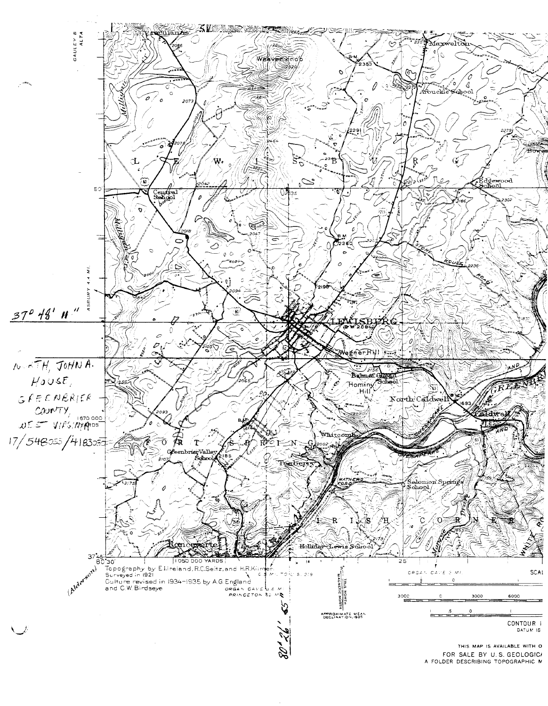